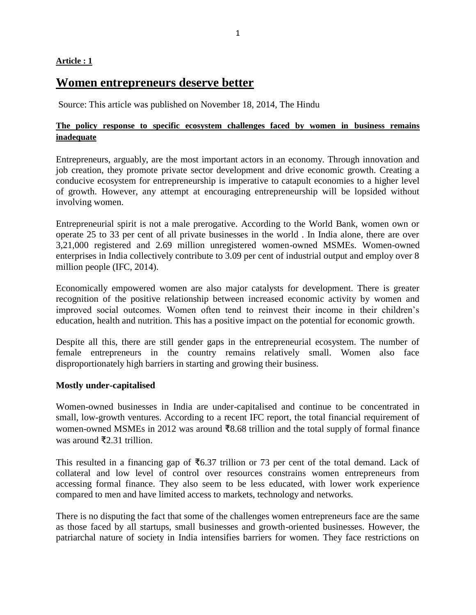### **Article : 1**

# **Women entrepreneurs deserve better**

Source: This article was published on November 18, 2014, The Hindu

## **The policy response to specific ecosystem challenges faced by women in business remains inadequate**

Entrepreneurs, arguably, are the most important actors in an economy. Through innovation and job creation, they promote private sector development and drive economic growth. Creating a conducive ecosystem for entrepreneurship is imperative to catapult economies to a higher level of growth. However, any attempt at encouraging entrepreneurship will be lopsided without involving women.

Entrepreneurial spirit is not a male prerogative. According to the World Bank, women own or operate 25 to 33 per cent of all private businesses in the world . In India alone, there are over 3,21,000 registered and 2.69 million unregistered women-owned MSMEs. Women-owned enterprises in India collectively contribute to 3.09 per cent of industrial output and employ over 8 million people (IFC, 2014).

Economically empowered women are also major catalysts for development. There is greater recognition of the positive relationship between increased economic activity by women and improved social outcomes. Women often tend to reinvest their income in their children's education, health and nutrition. This has a positive impact on the potential for economic growth.

Despite all this, there are still gender gaps in the entrepreneurial ecosystem. The number of female entrepreneurs in the country remains relatively small. Women also face disproportionately high barriers in starting and growing their business.

### **Mostly under-capitalised**

Women-owned businesses in India are under-capitalised and continue to be concentrated in small, low-growth ventures. According to a recent IFC report, the total financial requirement of women-owned MSMEs in 2012 was around ₹8.68 trillion and the total supply of formal finance was around ₹2.31 trillion.

This resulted in a financing gap of  $\overline{6}6.37$  trillion or 73 per cent of the total demand. Lack of collateral and low level of control over resources constrains women entrepreneurs from accessing formal finance. They also seem to be less educated, with lower work experience compared to men and have limited access to markets, technology and networks.

There is no disputing the fact that some of the challenges women entrepreneurs face are the same as those faced by all startups, small businesses and growth-oriented businesses. However, the patriarchal nature of society in India intensifies barriers for women. They face restrictions on